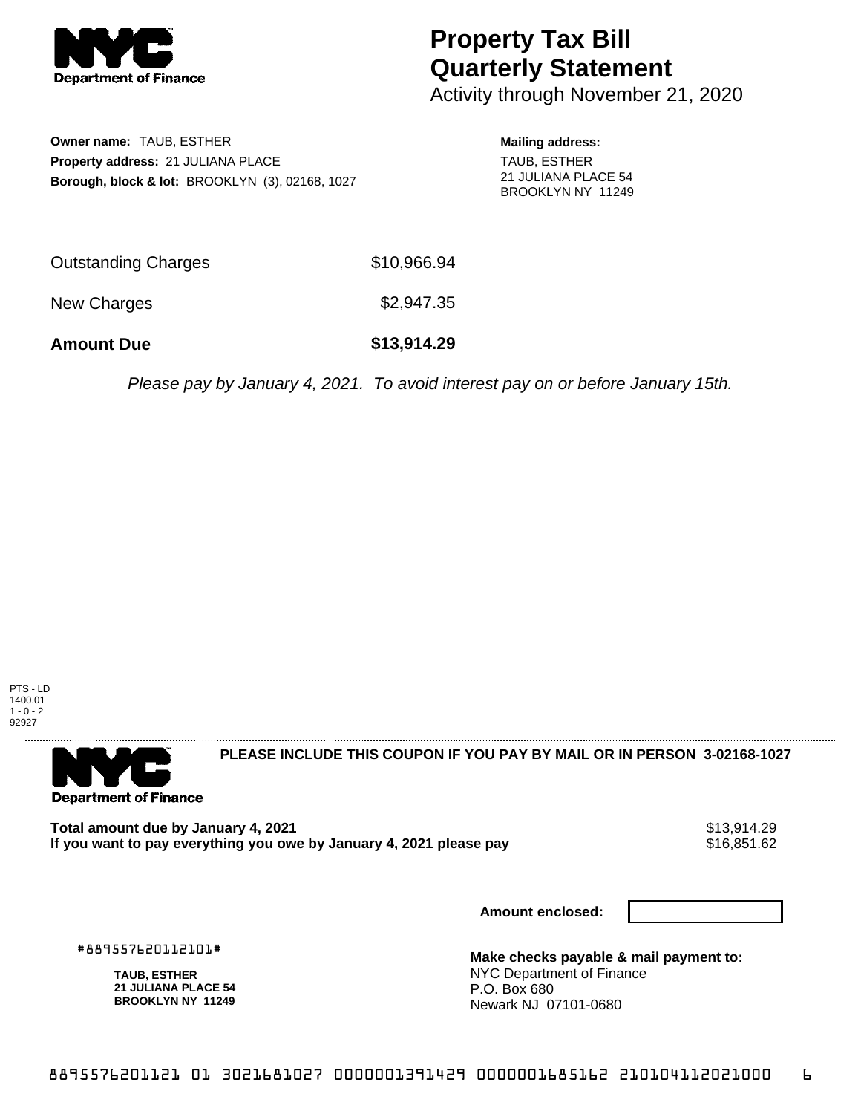

## **Property Tax Bill Quarterly Statement**

Activity through November 21, 2020

**Owner name:** TAUB, ESTHER **Property address:** 21 JULIANA PLACE **Borough, block & lot:** BROOKLYN (3), 02168, 1027 **Mailing address:**

TAUB, ESTHER 21 JULIANA PLACE 54 BROOKLYN NY 11249

| <b>Amount Due</b>          | \$13,914.29 |
|----------------------------|-------------|
| New Charges                | \$2,947.35  |
| <b>Outstanding Charges</b> | \$10,966.94 |

Please pay by January 4, 2021. To avoid interest pay on or before January 15th.



. . . . . . . . . . . . . . . . 

**Department of Finance** 

**PLEASE INCLUDE THIS COUPON IF YOU PAY BY MAIL OR IN PERSON 3-02168-1027** 

Total amount due by January 4, 2021<br>If you want to pay everything you owe by January 4, 2021 please pay **state of the State of the State State State** If you want to pay everything you owe by January 4, 2021 please pay

**Amount enclosed:**

#889557620112101#

**TAUB, ESTHER 21 JULIANA PLACE 54 BROOKLYN NY 11249**

**Make checks payable & mail payment to:** NYC Department of Finance P.O. Box 680 Newark NJ 07101-0680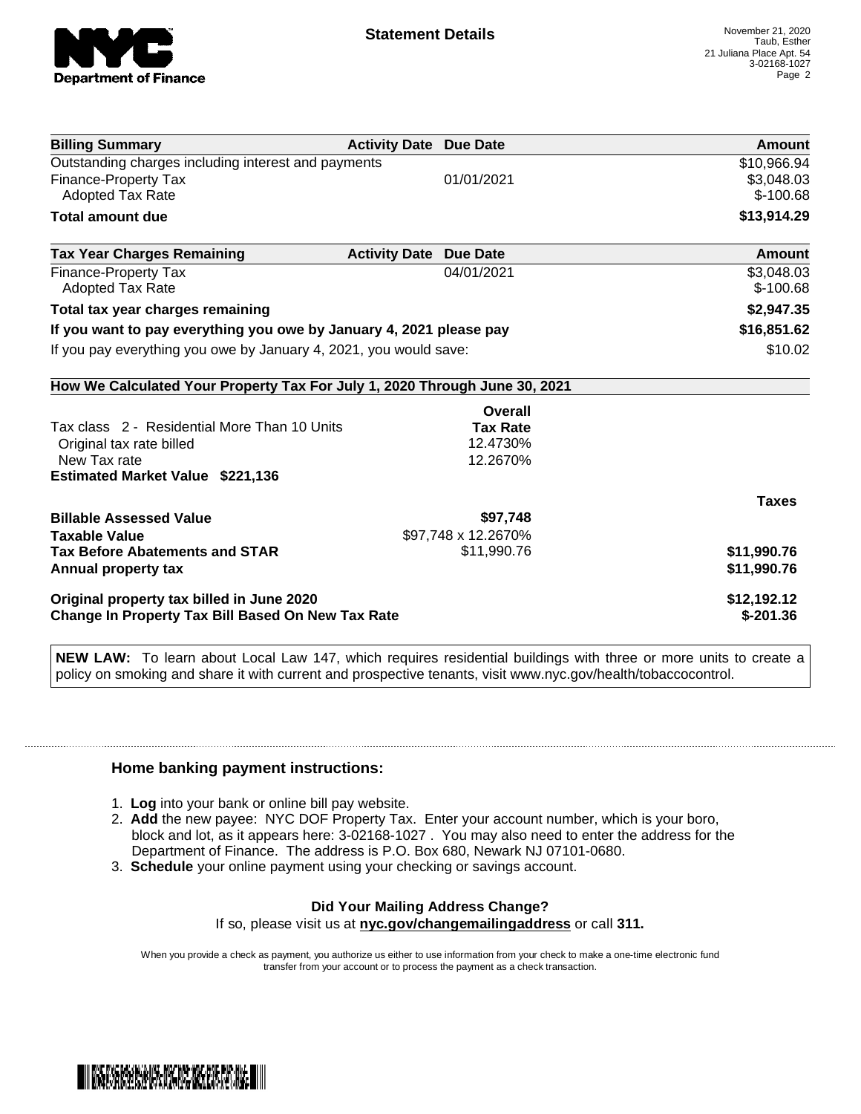

| <b>Billing Summary</b>                                                     | <b>Activity Date Due Date</b>           | Amount       |
|----------------------------------------------------------------------------|-----------------------------------------|--------------|
| Outstanding charges including interest and payments                        |                                         | \$10,966.94  |
| Finance-Property Tax                                                       | 01/01/2021                              | \$3,048.03   |
| <b>Adopted Tax Rate</b>                                                    |                                         | $$-100.68$   |
| <b>Total amount due</b>                                                    |                                         | \$13,914.29  |
| <b>Tax Year Charges Remaining</b>                                          | <b>Activity Date</b><br><b>Due Date</b> | Amount       |
| Finance-Property Tax                                                       | 04/01/2021                              | \$3,048.03   |
| <b>Adopted Tax Rate</b>                                                    |                                         | $$-100.68$   |
| Total tax year charges remaining                                           |                                         | \$2,947.35   |
| If you want to pay everything you owe by January 4, 2021 please pay        |                                         | \$16,851.62  |
| If you pay everything you owe by January 4, 2021, you would save:          |                                         | \$10.02      |
| How We Calculated Your Property Tax For July 1, 2020 Through June 30, 2021 |                                         |              |
|                                                                            | Overall                                 |              |
| Tax class 2 - Residential More Than 10 Units                               | <b>Tax Rate</b>                         |              |
| Original tax rate billed                                                   | 12.4730%                                |              |
| New Tax rate                                                               | 12.2670%                                |              |
| <b>Estimated Market Value \$221,136</b>                                    |                                         |              |
|                                                                            |                                         | <b>Taxes</b> |
| <b>Billable Assessed Value</b>                                             | \$97,748                                |              |
| <b>Taxable Value</b>                                                       | \$97,748 x 12.2670%                     |              |
| <b>Tax Before Abatements and STAR</b>                                      | \$11,990.76                             | \$11,990.76  |
| Annual property tax                                                        |                                         | \$11,990.76  |
| Original property tax billed in June 2020                                  |                                         | \$12,192.12  |
| <b>Change In Property Tax Bill Based On New Tax Rate</b>                   |                                         | $$-201.36$   |

**NEW LAW:** To learn about Local Law 147, which requires residential buildings with three or more units to create a policy on smoking and share it with current and prospective tenants, visit www.nyc.gov/health/tobaccocontrol.

## **Home banking payment instructions:**

- 1. **Log** into your bank or online bill pay website.
- 2. **Add** the new payee: NYC DOF Property Tax. Enter your account number, which is your boro, block and lot, as it appears here: 3-02168-1027 . You may also need to enter the address for the Department of Finance. The address is P.O. Box 680, Newark NJ 07101-0680.
- 3. **Schedule** your online payment using your checking or savings account.

## **Did Your Mailing Address Change?** If so, please visit us at **nyc.gov/changemailingaddress** or call **311.**

When you provide a check as payment, you authorize us either to use information from your check to make a one-time electronic fund transfer from your account or to process the payment as a check transaction.